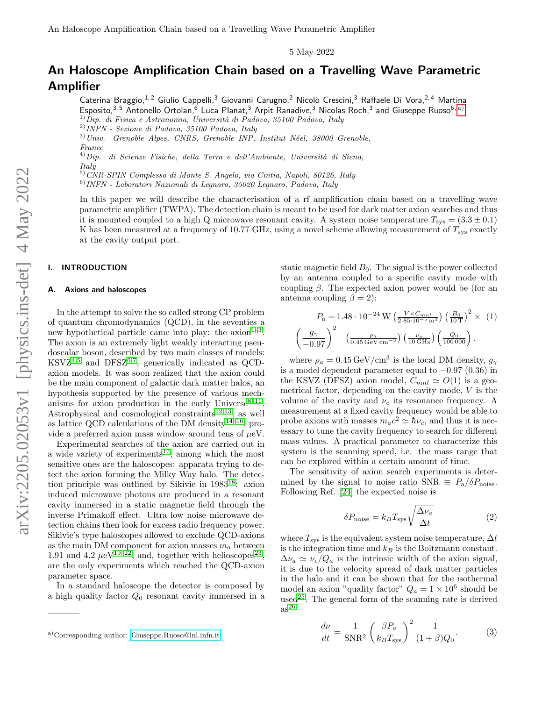5 May 2022

# An Haloscope Amplification Chain based on a Travelling Wave Parametric Amplifier

Caterina Braggio,<sup>1, 2</sup> Giulio Cappelli,<sup>3</sup> Giovanni Carugno, <sup>2</sup> Nicolò Crescini, <sup>3</sup> Raffaele Di Vora, <sup>2, 4</sup> Martina Esposito, $^{3,5}$  Antonello Ortolan, $^6$  Luca Planat, $^3$  Arpit Ranadive, $^3$  Nicolas Roch, $^3$  and Giuseppe Ruoso $^{6, \, \rm a)}$  $^{6, \, \rm a)}$  $^{6, \, \rm a)}$  $1)$ Dip. di Fisica e Astronomia, Università di Padova, 35100 Padova, Italy

 $3)$ Univ. Grenoble Alpes, CNRS, Grenoble INP, Institut Néel, 38000 Grenoble,

 $^{France}_{4) Dip.}$ di Scienze Fisiche, della Terra e dell'Ambiente, Università di Siena, Italy

5)CNR-SPIN Complesso di Monte S. Angelo, via Cintia, Napoli, 80126, Italy

6)INFN - Laboratori Nazionali di Legnaro, 35020 Legnaro, Padova, Italy

In this paper we will describe the characterisation of a rf amplification chain based on a travelling wave parametric amplifier (TWPA). The detection chain is meant to be used for dark matter axion searches and thus it is mounted coupled to a high Q microwave resonant cavity. A system noise temperature  $T_{\rm sys} = (3.3 \pm 0.1)$ K has been measured at a frequency of 10.77 GHz, using a novel scheme allowing measurement of  $T_{\rm sys}$  exactly at the cavity output port.

# I. INTRODUCTION

## A. Axions and haloscopes

In the attempt to solve the so called strong CP problem of quantum chromodynamics (QCD), in the seventies a new hypothetical particle came into play: the  $axion<sup>1-3</sup>$  $axion<sup>1-3</sup>$  $axion<sup>1-3</sup>$ . The axion is an extremely light weakly interacting pseudoscalar boson, described by two main classes of models:  $\text{KSVZ}^{4,5}$  $\text{KSVZ}^{4,5}$  $\text{KSVZ}^{4,5}$  $\text{KSVZ}^{4,5}$  and  $\text{DFSZ}^{6,7}$  $\text{DFSZ}^{6,7}$  $\text{DFSZ}^{6,7}$  $\text{DFSZ}^{6,7}$ , generically indicated as QCDaxion models. It was soon realized that the axion could be the main component of galactic dark matter halos, an hypothesis supported by the presence of various mechanisms for axion production in the early Universe  $8-11$  $8-11$ . Astrophysical and cosmological constraints<sup>[12,](#page-6-3)[13](#page-6-4)</sup>, as well as lattice QCD calculations of the DM density<sup>[14–](#page-6-5)[16](#page-6-6)</sup>, provide a preferred axion mass window around tens of  $\mu$ eV.

Experimental searches of the axion are carried out in a wide variety of experiments<sup>[17](#page-6-7)</sup>, among which the most sensitive ones are the haloscopes: apparata trying to detect the axion forming the Milky Way halo. The detection principle was outlined by Sikivie in 1983[18](#page-6-8): axion induced microwave photons are produced in a resonant cavity immersed in a static magnetic field through the inverse Primakoff effect. Ultra low noise microwave detection chains then look for excess radio frequency power. Sikivie's type haloscopes allowed to exclude QCD-axions as the main DM component for axion masses  $m_a$  between 1.91 and 4.2  $\mu$ eV<sup>[19–](#page-6-9)[22](#page-6-10)</sup>, and, together with helioscopes<sup>[23](#page-6-11)</sup>, are the only experiments which reached the QCD-axion parameter space.

In a standard haloscope the detector is composed by a high quality factor  $Q_0$  resonant cavity immersed in a

static magnetic field  $B_0$ . The signal is the power collected by an antenna coupled to a specific cavity mode with coupling  $β$ . The expected axion power would be (for an antenna coupling  $\beta = 2$ :

$$
P_{\rm a} = 1.48 \cdot 10^{-24} \,\mathrm{W} \left( \frac{V \times C_{mnl}}{2.85 \cdot 10^{-5} \,\mathrm{m}^3} \right) \left( \frac{B_0}{10 \,\mathrm{T}} \right)^2 \times (1)
$$

$$
\left( \frac{g_{\gamma}}{-0.97} \right)^2 \left( \frac{\rho_a}{0.45 \,\mathrm{GeV} \,\mathrm{cm}^{-3}} \right) \left( \frac{\nu_c}{10 \,\mathrm{GHz}} \right) \left( \frac{Q_0}{100000} \right).
$$

where  $\rho_a = 0.45 \,\text{GeV}/\text{cm}^3$  is the local DM density,  $g_{\gamma}$ is a model dependent parameter equal to −0.97 (0.36) in the KSVZ (DFSZ) axion model,  $C_{mnl} \simeq O(1)$  is a geometrical factor, depending on the cavity mode,  $V$  is the volume of the cavity and  $\nu_c$  its resonance frequency. A measurement at a fixed cavity frequency would be able to probe axions with masses  $m_a c^2 \simeq \hbar \nu_c$ , and thus it is necessary to tune the cavity frequency to search for different mass values. A practical parameter to characterize this system is the scanning speed, i.e. the mass range that can be explored within a certain amount of time.

The sensitivity of axion search experiments is determined by the signal to noise ratio SNR  $\equiv P_a/\delta P_{\text{noise}}$ . Following Ref. [\[24\]](#page-6-12) the expected noise is

$$
\delta P_{\text{noise}} = k_B T_{\text{sys}} \sqrt{\frac{\Delta \nu_a}{\Delta t}} \tag{2}
$$

where  $T_{\rm sys}$  is the equivalent system noise temperature,  $\Delta t$ is the integration time and  $k_B$  is the Boltzmann constant.  $\Delta \nu_a \simeq \nu_c/Q_a$  is the intrinsic width of the axion signal, it is due to the velocity spread of dark matter particles in the halo and it can be shown that for the isothermal model an axion "quality factor"  $Q_a = 1 \times 10^6$  should be used<sup>[25](#page-6-13)</sup>. The general form of the scanning rate is derived  $as^{26}$  $as^{26}$  $as^{26}$ 

$$
\frac{d\nu}{dt} = \frac{1}{\text{SNR}^2} \left(\frac{\beta P_a}{k_B T_{\text{sys}}}\right)^2 \frac{1}{(1+\beta)Q_0}.\tag{3}
$$

<sup>2)</sup>INFN - Sezione di Padova, 35100 Padova, Italy

<span id="page-0-0"></span>a)Corresponding author: [Giuseppe.Ruoso@lnl.infn.it](mailto:Giuseppe.Ruoso@lnl.infn.it)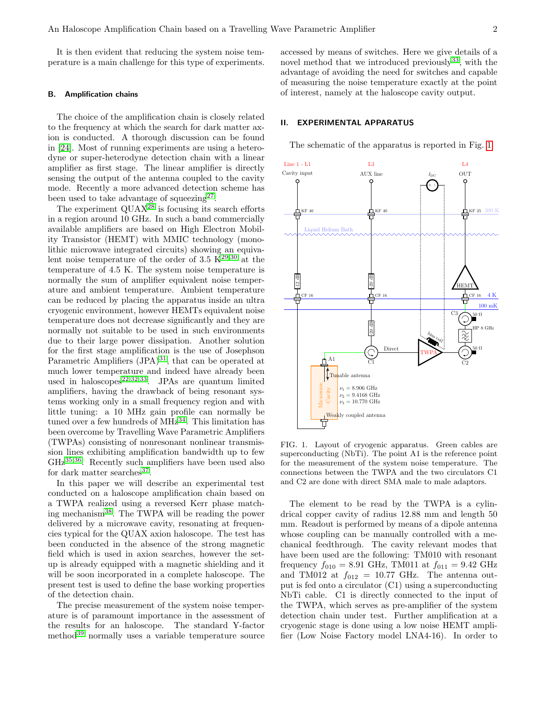It is then evident that reducing the system noise temperature is a main challenge for this type of experiments.

#### B. Amplification chains

The choice of the amplification chain is closely related to the frequency at which the search for dark matter axion is conducted. A thorough discussion can be found in [\[24\]](#page-6-12). Most of running experiments are using a heterodyne or super-heterodyne detection chain with a linear amplifier as first stage. The linear amplifier is directly sensing the output of the antenna coupled to the cavity mode. Recently a more advanced detection scheme has been used to take advantage of squeezing<sup>[27](#page-6-15)</sup>.

The experiment  $\mathrm{QUAX}^{28}$  $\mathrm{QUAX}^{28}$  $\mathrm{QUAX}^{28}$  is focusing its search efforts in a region around 10 GHz. In such a band commercially available amplifiers are based on High Electron Mobility Transistor (HEMT) with MMIC technology (monolithic microwave integrated circuits) showing an equivalent noise temperature of the order of 3.5  $K^{29,30}$  $K^{29,30}$  $K^{29,30}$  $K^{29,30}$  at the temperature of 4.5 K. The system noise temperature is normally the sum of amplifier equivalent noise temperature and ambient temperature. Ambient temperature can be reduced by placing the apparatus inside an ultra cryogenic environment, however HEMTs equivalent noise temperature does not decrease significantly and they are normally not suitable to be used in such environments due to their large power dissipation. Another solution for the first stage amplification is the use of Josephson Parametric Amplifiers (JPA)<sup>[31](#page-6-19)</sup>, that can be operated at much lower temperature and indeed have already been used in haloscopes<sup>[22,](#page-6-10)[32,](#page-6-20)[33](#page-6-21)</sup>. JPAs are quantum limited amplifiers, having the drawback of being resonant systems working only in a small frequency region and with little tuning: a 10 MHz gain profile can normally be tuned over a few hundreds of  $MHz^{34}$  $MHz^{34}$  $MHz^{34}$ . This limitation has been overcome by Travelling Wave Parametric Amplifiers (TWPAs) consisting of nonresonant nonlinear transmission lines exhibiting amplification bandwidth up to few GHz[35,](#page-6-23)[36](#page-6-24). Recently such amplifiers have been used also for dark matter searches<sup>[37](#page-6-25)</sup>.

In this paper we will describe an experimental test conducted on a haloscope amplification chain based on a TWPA realized using a reversed Kerr phase matching mechanism[38](#page-7-0). The TWPA will be reading the power delivered by a microwave cavity, resonating at frequencies typical for the QUAX axion haloscope. The test has been conducted in the absence of the strong magnetic field which is used in axion searches, however the setup is already equipped with a magnetic shielding and it will be soon incorporated in a complete haloscope. The present test is used to define the base working properties of the detection chain.

The precise measurement of the system noise temperature is of paramount importance in the assessment of the results for an haloscope. The standard Y-factor method[39](#page-7-1) normally uses a variable temperature source

accessed by means of switches. Here we give details of a novel method that we introduced previously  $33$ , with the advantage of avoiding the need for switches and capable of measuring the noise temperature exactly at the point of interest, namely at the haloscope cavity output.

#### II. EXPERIMENTAL APPARATUS

The schematic of the apparatus is reported in Fig. [1.](#page-1-0)



<span id="page-1-0"></span>FIG. 1. Layout of cryogenic apparatus. Green cables are superconducting (NbTi). The point A1 is the reference point for the measurement of the system noise temperature. The connections between the TWPA and the two circulators C1 and C2 are done with direct SMA male to male adaptors.

The element to be read by the TWPA is a cylindrical copper cavity of radius 12.88 mm and length 50 mm. Readout is performed by means of a dipole antenna whose coupling can be manually controlled with a mechanical feedthrough. The cavity relevant modes that have been used are the following: TM010 with resonant frequency  $f_{010} = 8.91$  GHz, TM011 at  $f_{011} = 9.42$  GHz and TM012 at  $f_{012} = 10.77$  GHz. The antenna output is fed onto a circulator (C1) using a superconducting NbTi cable. C1 is directly connected to the input of the TWPA, which serves as pre-amplifier of the system detection chain under test. Further amplification at a cryogenic stage is done using a low noise HEMT amplifier (Low Noise Factory model LNA4-16). In order to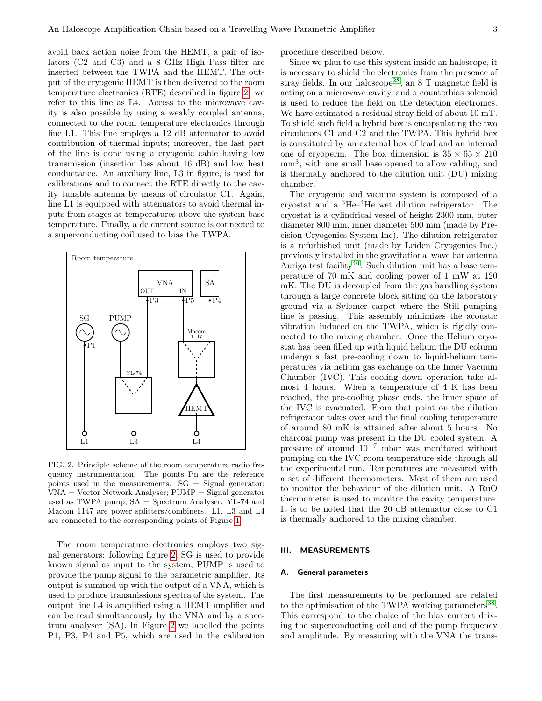avoid back action noise from the HEMT, a pair of isolators (C2 and C3) and a 8 GHz High Pass filter are inserted between the TWPA and the HEMT. The output of the cryogenic HEMT is then delivered to the room temperature electronics (RTE) described in figure [2:](#page-2-0) we refer to this line as L4. Access to the microwave cavity is also possible by using a weakly coupled antenna, connected to the room temperature electronics through line L1. This line employs a 12 dB attenuator to avoid contribution of thermal inputs; moreover, the last part of the line is done using a cryogenic cable having low transmission (insertion loss about 16 dB) and low heat conductance. An auxiliary line, L3 in figure, is used for calibrations and to connect the RTE directly to the cavity tunable antenna by means of circulator C1. Again, line L1 is equipped with attenuators to avoid thermal inputs from stages at temperatures above the system base temperature. Finally, a dc current source is connected to a superconducting coil used to bias the TWPA.



<span id="page-2-0"></span>FIG. 2. Principle scheme of the room temperature radio frequency instrumentation. The points Pn are the reference points used in the measurements.  $SG = Signal generator$ ; VNA = Vector Network Analyser; PUMP = Signal generator used as TWPA pump; SA = Spectrum Analyser. YL-74 and Macom 1147 are power splitters/combiners. L1, L3 and L4 are connected to the corresponding points of Figure [1.](#page-1-0)

The room temperature electronics employs two signal generators: following figure [2,](#page-2-0) SG is used to provide known signal as input to the system, PUMP is used to provide the pump signal to the parametric amplifier. Its output is summed up with the output of a VNA, which is used to produce transmissions spectra of the system. The output line L4 is amplified using a HEMT amplifier and can be read simultaneously by the VNA and by a spectrum analyser (SA). In Figure [2](#page-2-0) we labelled the points P1, P3, P4 and P5, which are used in the calibration procedure described below.

Since we plan to use this system inside an haloscope, it is necessary to shield the electronics from the presence of stray fields. In our haloscope<sup>[28](#page-6-16)</sup>, an 8 T magnetic field is acting on a microwave cavity, and a counterbias solenoid is used to reduce the field on the detection electronics. We have estimated a residual stray field of about 10 mT. To shield such field a hybrid box is encapsulating the two circulators C1 and C2 and the TWPA. This hybrid box is constituted by an external box of lead and an internal one of cryoperm. The box dimension is  $35 \times 65 \times 210$ mm<sup>3</sup> , with one small base opened to allow cabling, and is thermally anchored to the dilution unit (DU) mixing chamber.

The cryogenic and vacuum system is composed of a cryostat and a <sup>3</sup>He–4He wet dilution refrigerator. The cryostat is a cylindrical vessel of height 2300 mm, outer diameter 800 mm, inner diameter 500 mm (made by Precision Cryogenics System Inc). The dilution refrigerator is a refurbished unit (made by Leiden Cryogenics Inc.) previously installed in the gravitational wave bar antenna Auriga test facility<sup>[40](#page-7-2)</sup>. Such dilution unit has a base temperature of 70 mK and cooling power of 1 mW at 120 mK. The DU is decoupled from the gas handling system through a large concrete block sitting on the laboratory ground via a Sylomer carpet where the Still pumping line is passing. This assembly minimizes the acoustic vibration induced on the TWPA, which is rigidly connected to the mixing chamber. Once the Helium cryostat has been filled up with liquid helium the DU column undergo a fast pre-cooling down to liquid-helium temperatures via helium gas exchange on the Inner Vacuum Chamber (IVC). This cooling down operation take almost 4 hours. When a temperature of 4 K has been reached, the pre-cooling phase ends, the inner space of the IVC is evacuated. From that point on the dilution refrigerator takes over and the final cooling temperature of around 80 mK is attained after about 5 hours. No charcoal pump was present in the DU cooled system. A pressure of around 10<sup>−</sup><sup>7</sup> mbar was monitored without pumping on the IVC room temperature side through all the experimental run. Temperatures are measured with a set of different thermometers. Most of them are used to monitor the behaviour of the dilution unit. A RuO thermometer is used to monitor the cavity temperature. It is to be noted that the 20 dB attenuator close to C1 is thermally anchored to the mixing chamber.

# III. MEASUREMENTS

## A. General parameters

The first measurements to be performed are related to the optimisation of the TWPA working parameters<sup>[38](#page-7-0)</sup>. This correspond to the choice of the bias current driving the superconducting coil and of the pump frequency and amplitude. By measuring with the VNA the trans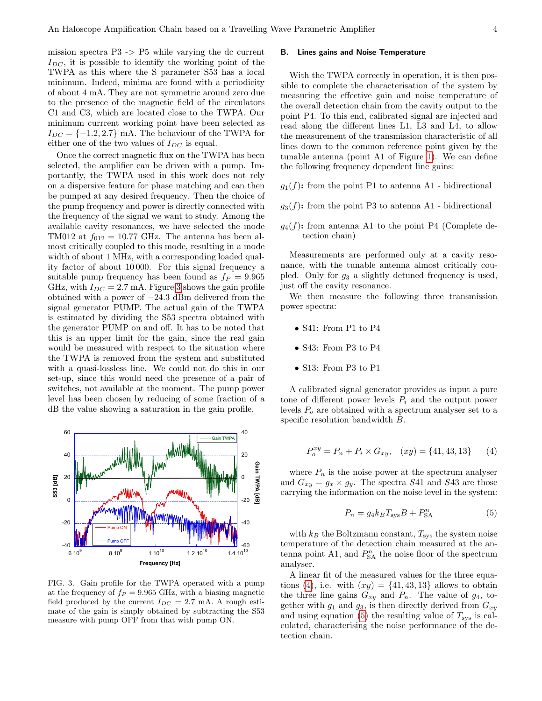mission spectra P3 -> P5 while varying the dc current  $I_{DC}$ , it is possible to identify the working point of the TWPA as this where the S parameter S53 has a local minimum. Indeed, minima are found with a periodicity of about 4 mA. They are not symmetric around zero due to the presence of the magnetic field of the circulators C1 and C3, which are located close to the TWPA. Our minimum currrent working point have been selected as  $I_{DC} = \{-1.2, 2.7\}$  mA. The behaviour of the TWPA for either one of the two values of  $I_{DC}$  is equal.

Once the correct magnetic flux on the TWPA has been selected, the amplifier can be driven with a pump. Importantly, the TWPA used in this work does not rely on a dispersive feature for phase matching and can then be pumped at any desired frequency. Then the choice of the pump frequency and power is directly connected with the frequency of the signal we want to study. Among the available cavity resonances, we have selected the mode TM012 at  $f_{012} = 10.77$  GHz. The antenna has been almost critically coupled to this mode, resulting in a mode width of about 1 MHz, with a corresponding loaded quality factor of about 10 000. For this signal frequency a suitable pump frequency has been found as  $f_P = 9.965$ GHz, with  $I_{DC} = 2.7$  mA. Figure [3](#page-3-0) shows the gain profile obtained with a power of −24.3 dBm delivered from the signal generator PUMP. The actual gain of the TWPA is estimated by dividing the S53 spectra obtained with the generator PUMP on and off. It has to be noted that this is an upper limit for the gain, since the real gain would be measured with respect to the situation where the TWPA is removed from the system and substituted with a quasi-lossless line. We could not do this in our set-up, since this would need the presence of a pair of switches, not available at the moment. The pump power level has been chosen by reducing of some fraction of a dB the value showing a saturation in the gain profile.



<span id="page-3-0"></span>FIG. 3. Gain profile for the TWPA operated with a pump at the frequency of  $f_P = 9.965$  GHz, with a biasing magnetic field produced by the current  $I_{DC} = 2.7$  mA. A rough estimate of the gain is simply obtained by subtracting the S53 measure with pump OFF from that with pump ON.

#### B. Lines gains and Noise Temperature

With the TWPA correctly in operation, it is then possible to complete the characterisation of the system by measuring the effective gain and noise temperature of the overall detection chain from the cavity output to the point P4. To this end, calibrated signal are injected and read along the different lines L1, L3 and L4, to allow the measurement of the transmission characteristic of all lines down to the common reference point given by the tunable antenna (point A1 of Figure [1\)](#page-1-0). We can define the following frequency dependent line gains:

- $g_1(f)$ : from the point P1 to antenna A1 bidirectional
- $g_3(f)$ : from the point P3 to antenna A1 bidirectional
- $q_4(f)$ : from antenna A1 to the point P4 (Complete detection chain)

Measurements are performed only at a cavity resonance, with the tunable antenna almost critically coupled. Only for  $g_3$  a slightly detuned frequency is used, just off the cavity resonance.

We then measure the following three transmission power spectra:

- S41: From P1 to P4
- S43: From P3 to P4
- S13: From P3 to P1

A calibrated signal generator provides as input a pure tone of different power levels  $P_i$  and the output power levels  $P<sub>o</sub>$  are obtained with a spectrum analyser set to a specific resolution bandwidth B.

<span id="page-3-1"></span>
$$
P_o^{xy} = P_n + P_i \times G_{xy}, \quad (xy) = \{41, 43, 13\} \tag{4}
$$

where  $P_n$  is the noise power at the spectrum analyser and  $G_{xy} = g_x \times g_y$ . The spectra S41 and S43 are those carrying the information on the noise level in the system:

<span id="page-3-2"></span>
$$
P_n = g_4 k_B T_{\rm sys} B + P_{\rm SA}^n \tag{5}
$$

with  $k_B$  the Boltzmann constant,  $T_{\text{sys}}$  the system noise temperature of the detection chain measured at the antenna point A1, and  $P_{\text{SA}}^n$  the noise floor of the spectrum analyser.

A linear fit of the measured values for the three equa-tions [\(4\)](#page-3-1), i.e. with  $(xy) = \{41, 43, 13\}$  allows to obtain the three line gains  $G_{xy}$  and  $P_n$ . The value of  $g_4$ , together with  $g_1$  and  $g_3$ , is then directly derived from  $G_{xy}$ and using equation [\(5\)](#page-3-2) the resulting value of  $T_{\rm sys}$  is calculated, characterising the noise performance of the detection chain.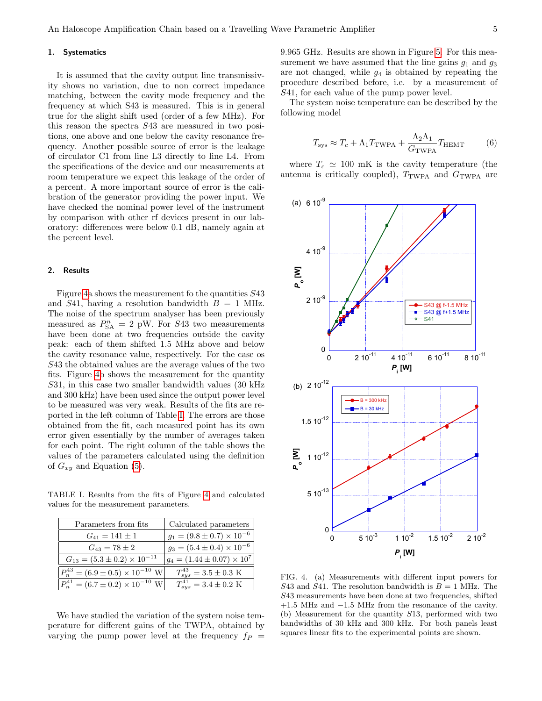## 1. Systematics

It is assumed that the cavity output line transmissivity shows no variation, due to non correct impedance matching, between the cavity mode frequency and the frequency at which S43 is measured. This is in general true for the slight shift used (order of a few MHz). For this reason the spectra S43 are measured in two positions, one above and one below the cavity resonance frequency. Another possible source of error is the leakage of circulator C1 from line L3 directly to line L4. From the specifications of the device and our measurements at room temperature we expect this leakage of the order of a percent. A more important source of error is the calibration of the generator providing the power input. We have checked the nominal power level of the instrument by comparison with other rf devices present in our laboratory: differences were below 0.1 dB, namely again at the percent level.

#### 2. Results

Figure [4a](#page-4-0) shows the measurement fo the quantities S43 and S41, having a resolution bandwidth  $B = 1$  MHz. The noise of the spectrum analyser has been previously measured as  $P_{SA}^{n} = 2$  pW. For S43 two measurements have been done at two frequencies outside the cavity peak: each of them shifted 1.5 MHz above and below the cavity resonance value, respectively. For the case os S43 the obtained values are the average values of the two fits. Figure [4b](#page-4-0) shows the measurement for the quantity S31, in this case two smaller bandwidth values (30 kHz and 300 kHz) have been used since the output power level to be measured was very weak. Results of the fits are reported in the left column of Table [I.](#page-4-1) The errors are those obtained from the fit, each measured point has its own error given essentially by the number of averages taken for each point. The right column of the table shows the values of the parameters calculated using the definition of  $G_{xy}$  and Equation [\(5\)](#page-3-2).

<span id="page-4-1"></span>TABLE I. Results from the fits of Figure [4](#page-4-0) and calculated values for the measurement parameters.

| Parameters from fits                                 | Calculated parameters                  |
|------------------------------------------------------|----------------------------------------|
| $G_{41} = 141 \pm 1$                                 | $g_1 = (9.8 \pm 0.7) \times 10^{-6}$   |
| $G_{43} = 78 \pm 2$                                  | $g_3 = (5.4 \pm 0.4) \times 10^{-6}$   |
| $G_{13} = (5.3 \pm 0.2) \times 10^{-11}$             | $ g_4 = (1.44 \pm 0.07) \times 10^7$   |
| $P_n^{43} = (6.9 \pm 0.5) \times 10^{-10} \text{ W}$ | $T_{sys}^{43} = 3.5 \pm 0.3 \text{ K}$ |
| $P_n^{41} = (6.7 \pm 0.2) \times 10^{-10}$ W         | $T_{sus}^{41} = 3.4 \pm 0.2 \text{ K}$ |

We have studied the variation of the system noise temperature for different gains of the TWPA, obtained by varying the pump power level at the frequency  $f_P$  =

9.965 GHz. Results are shown in Figure [5.](#page-5-5) For this measurement we have assumed that the line gains  $g_1$  and  $g_3$ are not changed, while  $g_4$  is obtained by repeating the procedure described before, i.e. by a measurement of S41, for each value of the pump power level.

The system noise temperature can be described by the following model

<span id="page-4-2"></span>
$$
T_{\rm sys} \approx T_c + \Lambda_1 T_{\rm TWPA} + \frac{\Lambda_2 \Lambda_1}{G_{\rm TWPA}} T_{\rm HEMT}
$$
 (6)

where  $T_c \simeq 100$  mK is the cavity temperature (the antenna is critically coupled),  $T_{\text{TWPA}}$  and  $G_{\text{TWPA}}$  are



<span id="page-4-0"></span>FIG. 4. (a) Measurements with different input powers for S43 and S41. The resolution bandwidth is  $B = 1$  MHz. The S43 measurements have been done at two frequencies, shifted +1.5 MHz and −1.5 MHz from the resonance of the cavity. (b) Measurement for the quantity S13, performed with two bandwidths of 30 kHz and 300 kHz. For both panels least squares linear fits to the experimental points are shown.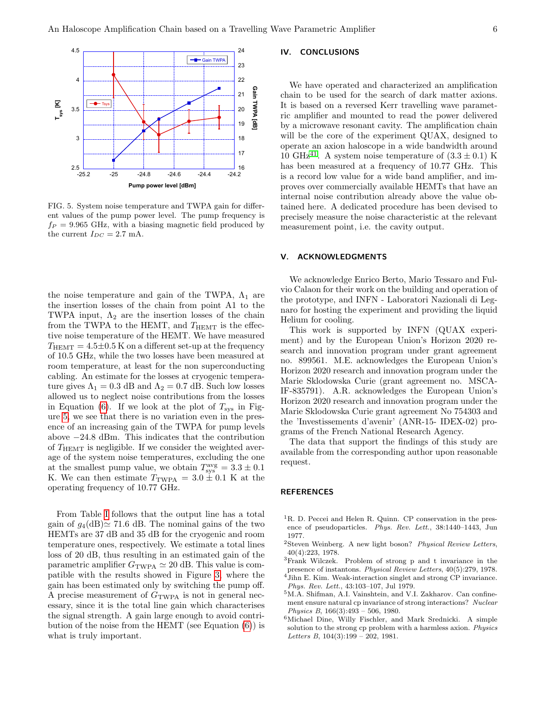

<span id="page-5-5"></span>FIG. 5. System noise temperature and TWPA gain for different values of the pump power level. The pump frequency is  $f_P = 9.965$  GHz, with a biasing magnetic field produced by the current  $I_{DC} = 2.7$  mA.

the noise temperature and gain of the TWPA,  $\Lambda_1$  are the insertion losses of the chain from point A1 to the TWPA input,  $\Lambda_2$  are the insertion losses of the chain from the TWPA to the HEMT, and  $T_{\text{HEMT}}$  is the effective noise temperature of the HEMT. We have measured  $T_{\text{HEMT}} = 4.5 \pm 0.5 \text{ K}$  on a different set-up at the frequency of 10.5 GHz, while the two losses have been measured at room temperature, at least for the non superconducting cabling. An estimate for the losses at cryogenic temperature gives  $\Lambda_1 = 0.3$  dB and  $\Lambda_2 = 0.7$  dB. Such low losses allowed us to neglect noise contributions from the losses in Equation [\(6\)](#page-4-2). If we look at the plot of  $T_{sys}$  in Figure [5,](#page-5-5) we see that there is no variation even in the presence of an increasing gain of the TWPA for pump levels above −24.8 dBm. This indicates that the contribution of  $T_{\text{HEMT}}$  is negligible. If we consider the weighted average of the system noise temperatures, excluding the one at the smallest pump value, we obtain  $T_{\rm sys}^{\rm avg} = 3.3 \pm 0.1$ K. We can then estimate  $T_{\text{TWPA}} = 3.0 \pm 0.1 \text{ K}$  at the operating frequency of 10.77 GHz.

From Table [I](#page-4-1) follows that the output line has a total gain of  $g_4(dB) \approx 71.6$  dB. The nominal gains of the two HEMTs are 37 dB and 35 dB for the cryogenic and room temperature ones, respectively. We estimate a total lines loss of 20 dB, thus resulting in an estimated gain of the parametric amplifier  $G_{\text{TWPA}} \simeq 20 \text{ dB}$ . This value is compatible with the results showed in Figure [3,](#page-3-0) where the gain has been estimated only by switching the pump off. A precise measurement of  $G<sub>TWPA</sub>$  is not in general necessary, since it is the total line gain which characterises the signal strength. A gain large enough to avoid contribution of the noise from the HEMT (see Equation [\(6\)](#page-4-2)) is what is truly important.

# IV. CONCLUSIONS

We have operated and characterized an amplification chain to be used for the search of dark matter axions. It is based on a reversed Kerr travelling wave parametric amplifier and mounted to read the power delivered by a microwave resonant cavity. The amplification chain will be the core of the experiment QUAX, designed to operate an axion haloscope in a wide bandwidth around 10 GHz<sup>[41](#page-7-3)</sup>. A system noise temperature of  $(3.3 \pm 0.1)$  K has been measured at a frequency of 10.77 GHz. This is a record low value for a wide band amplifier, and improves over commercially available HEMTs that have an internal noise contribution already above the value obtained here. A dedicated procedure has been devised to precisely measure the noise characteristic at the relevant measurement point, i.e. the cavity output.

# V. ACKNOWLEDGMENTS

We acknowledge Enrico Berto, Mario Tessaro and Fulvio Calaon for their work on the building and operation of the prototype, and INFN - Laboratori Nazionali di Legnaro for hosting the experiment and providing the liquid Helium for cooling.

This work is supported by INFN (QUAX experiment) and by the European Union's Horizon 2020 research and innovation program under grant agreement no. 899561. M.E. acknowledges the European Union's Horizon 2020 research and innovation program under the Marie Sklodowska Curie (grant agreement no. MSCA-IF-835791). A.R. acknowledges the European Union's Horizon 2020 research and innovation program under the Marie Sklodowska Curie grant agreement No 754303 and the 'Investissements d'avenir' (ANR-15- IDEX-02) programs of the French National Research Agency.

The data that support the findings of this study are available from the corresponding author upon reasonable request.

## REFERENCES

- <span id="page-5-0"></span> ${}^{1}R$ . D. Peccei and Helen R. Quinn. CP conservation in the presence of pseudoparticles. Phys. Rev. Lett., 38:1440–1443, Jun 1977.
- <sup>2</sup>Steven Weinberg. A new light boson? Physical Review Letters, 40(4):223, 1978.
- <span id="page-5-1"></span><sup>3</sup>Frank Wilczek. Problem of strong p and t invariance in the presence of instantons. Physical Review Letters, 40(5):279, 1978.
- <span id="page-5-2"></span><sup>4</sup>Jihn E. Kim. Weak-interaction singlet and strong CP invariance. Phys. Rev. Lett., 43:103–107, Jul 1979.
- <span id="page-5-3"></span><sup>5</sup>M.A. Shifman, A.I. Vainshtein, and V.I. Zakharov. Can confinement ensure natural cp invariance of strong interactions? Nuclear Physics B, 166(3):493 – 506, 1980.
- <span id="page-5-4"></span><sup>6</sup>Michael Dine, Willy Fischler, and Mark Srednicki. A simple solution to the strong cp problem with a harmless axion. Physics Letters B,  $104(3):199 - 202$ , 1981.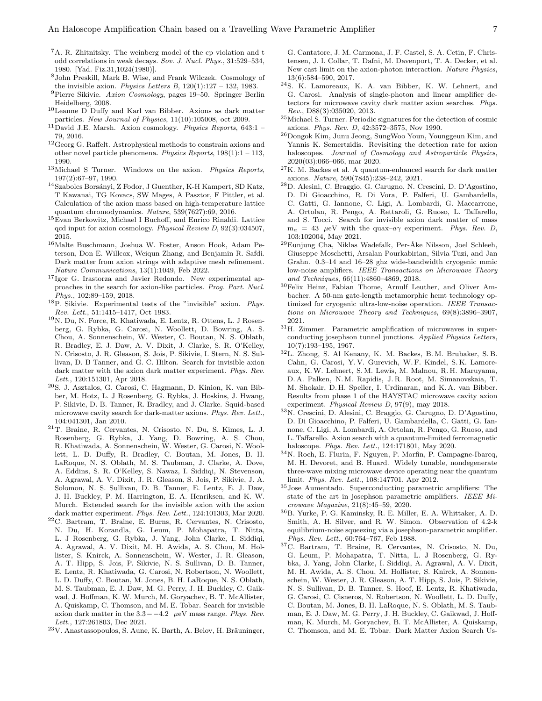- <span id="page-6-0"></span><sup>7</sup>A. R. Zhitnitsky. The weinberg model of the cp violation and t odd correlations in weak decays. Sov. J. Nucl. Phys., 31:529–534, 1980. [Yad. Fiz.31,1024(1980)].
- <span id="page-6-1"></span><sup>8</sup>John Preskill, Mark B. Wise, and Frank Wilczek. Cosmology of the invisible axion. Physics Letters B,  $120(1):127 - 132$ , 1983.
- <sup>9</sup>Pierre Sikivie. Axion Cosmology, pages 19–50. Springer Berlin Heidelberg, 2008.
- <sup>10</sup>Leanne D Duffy and Karl van Bibber. Axions as dark matter particles. New Journal of Physics, 11(10):105008, oct 2009.
- <span id="page-6-2"></span> $^{11}$ David J.E. Marsh. Axion cosmology. Physics Reports, 643:1 -79, 2016.
- <span id="page-6-3"></span><sup>12</sup>Georg G. Raffelt. Astrophysical methods to constrain axions and other novel particle phenomena. Physics Reports, 198(1):1 – 113, 1990.
- <span id="page-6-4"></span> $13$ Michael S Turner. Windows on the axion. Physics Reports, 197(2):67–97, 1990.
- <span id="page-6-5"></span><sup>14</sup>Szabolcs Borsányi, Z Fodor, J Guenther, K-H Kampert, SD Katz, T Kawanai, TG Kovacs, SW Mages, A Pasztor, F Pittler, et al. Calculation of the axion mass based on high-temperature lattice quantum chromodynamics. Nature, 539(7627):69, 2016.
- <sup>15</sup>Evan Berkowitz, Michael I Buchoff, and Enrico Rinaldi. Lattice qcd input for axion cosmology. Physical Review D, 92(3):034507, 2015.
- <span id="page-6-6"></span><sup>16</sup>Malte Buschmann, Joshua W. Foster, Anson Hook, Adam Peterson, Don E. Willcox, Weiqun Zhang, and Benjamin R. Safdi. Dark matter from axion strings with adaptive mesh refinement. Nature Communications, 13(1):1049, Feb 2022.
- <span id="page-6-7"></span><sup>17</sup>Igor G. Irastorza and Javier Redondo. New experimental approaches in the search for axion-like particles. Prog. Part. Nucl. Phys., 102:89–159, 2018.
- <span id="page-6-8"></span> $18P$ . Sikivie. Experimental tests of the "invisible" axion. Phys. Rev. Lett., 51:1415–1417, Oct 1983.
- <span id="page-6-9"></span> $^{19}{\rm N.}$  Du, N. Force, R. Khatiwada, E. Lentz, R. Ottens, L. J Rosenberg, G. Rybka, G. Carosi, N. Woollett, D. Bowring, A. S. Chou, A. Sonnenschein, W. Wester, C. Boutan, N. S. Oblath, R. Bradley, E. J. Daw, A. V. Dixit, J. Clarke, S. R. O'Kelley, N. Crisosto, J. R. Gleason, S. Jois, P. Sikivie, I. Stern, N. S. Sullivan, D. B Tanner, and G. C. Hilton. Search for invisible axion dark matter with the axion dark matter experiment. Phys. Rev. Lett., 120:151301, Apr 2018.
- <sup>20</sup>S. J. Asztalos, G. Carosi, C. Hagmann, D. Kinion, K. van Bibber, M. Hotz, L. J Rosenberg, G. Rybka, J. Hoskins, J. Hwang, P. Sikivie, D. B. Tanner, R. Bradley, and J. Clarke. Squid-based microwave cavity search for dark-matter axions. Phys. Rev. Lett., 104:041301, Jan 2010.
- <sup>21</sup>T. Braine, R. Cervantes, N. Crisosto, N. Du, S. Kimes, L. J. Rosenberg, G. Rybka, J. Yang, D. Bowring, A. S. Chou, R. Khatiwada, A. Sonnenschein, W. Wester, G. Carosi, N. Woollett, L. D. Duffy, R. Bradley, C. Boutan, M. Jones, B. H. LaRoque, N. S. Oblath, M. S. Taubman, J. Clarke, A. Dove, A. Eddins, S. R. O'Kelley, S. Nawaz, I. Siddiqi, N. Stevenson, A. Agrawal, A. V. Dixit, J. R. Gleason, S. Jois, P. Sikivie, J. A. Solomon, N. S. Sullivan, D. B. Tanner, E. Lentz, E. J. Daw, J. H. Buckley, P. M. Harrington, E. A. Henriksen, and K. W. Murch. Extended search for the invisible axion with the axion dark matter experiment. Phys. Rev. Lett., 124:101303, Mar 2020.
- <span id="page-6-10"></span><sup>22</sup>C. Bartram, T. Braine, E. Burns, R. Cervantes, N. Crisosto, N. Du, H. Korandla, G. Leum, P. Mohapatra, T. Nitta, L. J Rosenberg, G. Rybka, J. Yang, John Clarke, I. Siddiqi, A. Agrawal, A. V. Dixit, M. H. Awida, A. S. Chou, M. Hollister, S. Knirck, A. Sonnenschein, W. Wester, J. R. Gleason, A. T. Hipp, S. Jois, P. Sikivie, N. S. Sullivan, D. B. Tanner, E. Lentz, R. Khatiwada, G. Carosi, N. Robertson, N. Woollett, L. D. Duffy, C. Boutan, M. Jones, B. H. LaRoque, N. S. Oblath, M. S. Taubman, E. J. Daw, M. G. Perry, J. H. Buckley, C. Gaikwad, J. Hoffman, K. W. Murch, M. Goryachev, B. T. McAllister, A. Quiskamp, C. Thomson, and M. E. Tobar. Search for invisible axion dark matter in the  $3.3-–4.2$  µeV mass range. Phys. Rev. Lett., 127:261803, Dec 2021.
- <span id="page-6-11"></span> $23V$ . Anastassopoulos, S. Aune, K. Barth, A. Belov, H. Bräuninger,

G. Cantatore, J. M. Carmona, J. F. Castel, S. A. Cetin, F. Christensen, J. I. Collar, T. Dafni, M. Davenport, T. A. Decker, et al. New cast limit on the axion-photon interaction. Nature Physics, 13(6):584–590, 2017.

- <span id="page-6-12"></span><sup>24</sup>S. K. Lamoreaux, K. A. van Bibber, K. W. Lehnert, and G. Carosi. Analysis of single-photon and linear amplifier detectors for microwave cavity dark matter axion searches. Phys. Rev., D88(3):035020, 2013.
- <span id="page-6-13"></span><sup>25</sup>Michael S. Turner. Periodic signatures for the detection of cosmic axions. Phys. Rev. D, 42:3572–3575, Nov 1990.
- <span id="page-6-14"></span> $^{26}\rm{Dongok}$  Kim, Junu Jeong, SungWoo Youn, Younggeun Kim, and Yannis K. Semertzidis. Revisiting the detection rate for axion haloscopes. Journal of Cosmology and Astroparticle Physics, 2020(03):066–066, mar 2020.
- <span id="page-6-15"></span> $^{27}\mathrm{K}$  M. Backes et al. A quantum-enhanced search for dark matter axions. Nature, 590(7845):238–242, 2021.
- <span id="page-6-16"></span><sup>28</sup>D. Alesini, C. Braggio, G. Carugno, N. Crescini, D. D'Agostino, D. Di Gioacchino, R. Di Vora, P. Falferi, U. Gambardella, C. Gatti, G. Iannone, C. Ligi, A. Lombardi, G. Maccarrone, A. Ortolan, R. Pengo, A. Rettaroli, G. Ruoso, L. Taffarello, and S. Tocci. Search for invisible axion dark matter of mass  $m_a = 43 \mu\text{eV}$  with the quax- $a\gamma$  experiment. Phys. Rev. D, 103:102004, May 2021.
- <span id="page-6-17"></span> $^{29}\mathrm{Eunjung}$ Cha, Niklas Wadefalk, Per-Åke Nilsson, Joel Schleeh, Giuseppe Moschetti, Arsalan Pourkabirian, Silvia Tuzi, and Jan Grahn. 0.3–14 and 16–28 ghz wide-bandwidth cryogenic mmic low-noise amplifiers. IEEE Transactions on Microwave Theory and Techniques, 66(11):4860–4869, 2018.
- <span id="page-6-18"></span><sup>30</sup>Felix Heinz, Fabian Thome, Arnulf Leuther, and Oliver Ambacher. A 50-nm gate-length metamorphic hemt technology optimized for cryogenic ultra-low-noise operation. IEEE Transactions on Microwave Theory and Techniques, 69(8):3896–3907, 2021.
- <span id="page-6-19"></span><sup>31</sup>H. Zimmer. Parametric amplification of microwaves in superconducting josephson tunnel junctions. Applied Physics Letters, 10(7):193–195, 1967.
- <span id="page-6-20"></span><sup>32</sup>L. Zhong, S. Al Kenany, K. M. Backes, B. M. Brubaker, S. B. Cahn, G. Carosi, Y. V. Gurevich, W. F. Kindel, S. K. Lamoreaux, K.W. Lehnert, S. M. Lewis, M. Malnou, R. H. Maruyama, D. A. Palken, N. M. Rapidis, J. R. Root, M. Simanovskaia, T. M. Shokair, D. H. Speller, I. Urdinaran, and K. A. van Bibber. Results from phase 1 of the HAYSTAC microwave cavity axion experiment. Physical Review D, 97(9), may 2018.
- <span id="page-6-21"></span><sup>33</sup>N. Crescini, D. Alesini, C. Braggio, G. Carugno, D. D'Agostino, D. Di Gioacchino, P. Falferi, U. Gambardella, C. Gatti, G. Iannone, C. Ligi, A. Lombardi, A. Ortolan, R. Pengo, G. Ruoso, and L. Taffarello. Axion search with a quantum-limited ferromagnetic haloscope. Phys. Rev. Lett., 124:171801, May 2020.
- <span id="page-6-22"></span><sup>34</sup>N. Roch, E. Flurin, F. Nguyen, P. Morfin, P. Campagne-Ibarcq, M. H. Devoret, and B. Huard. Widely tunable, nondegenerate three-wave mixing microwave device operating near the quantum limit. Phys. Rev. Lett., 108:147701, Apr 2012.
- <span id="page-6-23"></span><sup>35</sup>Jose Aumentado. Superconducting parametric amplifiers: The state of the art in josephson parametric amplifiers. IEEE Microwave Magazine, 21(8):45–59, 2020.
- <span id="page-6-24"></span> $^{36}{\rm B.}$  Yurke, P. G. Kaminsky, R. E. Miller, E. A. Whittaker, A. D. Smith, A. H. Silver, and R. W. Simon. Observation of 4.2-k equilibrium-noise squeezing via a josephson-parametric amplifier. Phys. Rev. Lett., 60:764–767, Feb 1988.
- <span id="page-6-25"></span><sup>37</sup>C. Bartram, T. Braine, R. Cervantes, N. Crisosto, N. Du, G. Leum, P. Mohapatra, T. Nitta, L. J Rosenberg, G. Rybka, J. Yang, John Clarke, I. Siddiqi, A. Agrawal, A. V. Dixit, M. H. Awida, A. S. Chou, M. Hollister, S. Knirck, A. Sonnenschein, W. Wester, J. R. Gleason, A. T. Hipp, S. Jois, P. Sikivie, N. S. Sullivan, D. B. Tanner, S. Hoof, E. Lentz, R. Khatiwada, G. Carosi, C. Cisneros, N. Robertson, N. Woollett, L. D. Duffy, C. Boutan, M. Jones, B. H. LaRoque, N. S. Oblath, M. S. Taubman, E. J. Daw, M. G. Perry, J. H. Buckley, C. Gaikwad, J. Hoffman, K. Murch, M. Goryachev, B. T. McAllister, A. Quiskamp, C. Thomson, and M. E. Tobar. Dark Matter Axion Search Us-